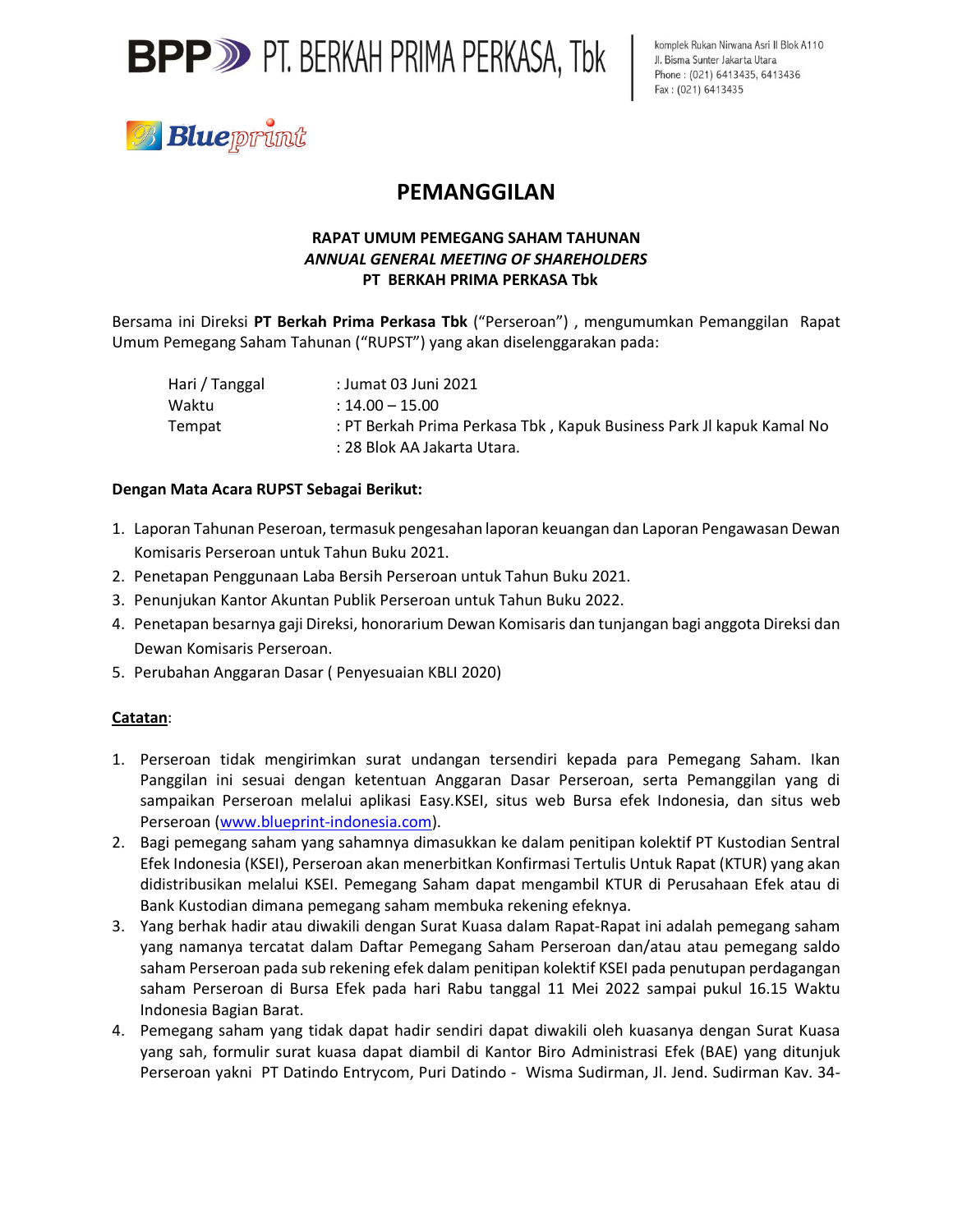

# **Blueprint**

## **PEMANGGILAN**

### **RAPAT UMUM PEMEGANG SAHAM TAHUNAN** *ANNUAL GENERAL MEETING OF SHAREHOLDERS*  **PT BERKAH PRIMA PERKASA Tbk**

Bersama ini Direksi **PT Berkah Prima Perkasa Tbk** ("Perseroan") , mengumumkan Pemanggilan Rapat Umum Pemegang Saham Tahunan ("RUPST") yang akan diselenggarakan pada:

| Hari / Tanggal | : Jumat 03 Juni 2021                                                 |
|----------------|----------------------------------------------------------------------|
| Waktu          | $: 14.00 - 15.00$                                                    |
| Tempat         | : PT Berkah Prima Perkasa Tbk, Kapuk Business Park Jl kapuk Kamal No |
|                | : 28 Blok AA Jakarta Utara.                                          |

#### **Dengan Mata Acara RUPST Sebagai Berikut:**

- 1. Laporan Tahunan Peseroan, termasuk pengesahan laporan keuangan dan Laporan Pengawasan Dewan Komisaris Perseroan untuk Tahun Buku 2021.
- 2. Penetapan Penggunaan Laba Bersih Perseroan untuk Tahun Buku 2021.
- 3. Penunjukan Kantor Akuntan Publik Perseroan untuk Tahun Buku 2022.
- 4. Penetapan besarnya gaji Direksi, honorarium Dewan Komisaris dan tunjangan bagi anggota Direksi dan Dewan Komisaris Perseroan.
- 5. Perubahan Anggaran Dasar ( Penyesuaian KBLI 2020)

### **Catatan**:

- 1. Perseroan tidak mengirimkan surat undangan tersendiri kepada para Pemegang Saham. Ikan Panggilan ini sesuai dengan ketentuan Anggaran Dasar Perseroan, serta Pemanggilan yang di sampaikan Perseroan melalui aplikasi Easy.KSEI, situs web Bursa efek Indonesia, dan situs web Perseroan [\(www.blueprint-indonesia.com\)](http://www.blueprint-indonesia.com/).
- 2. Bagi pemegang saham yang sahamnya dimasukkan ke dalam penitipan kolektif PT Kustodian Sentral Efek Indonesia (KSEI), Perseroan akan menerbitkan Konfirmasi Tertulis Untuk Rapat (KTUR) yang akan didistribusikan melalui KSEI. Pemegang Saham dapat mengambil KTUR di Perusahaan Efek atau di Bank Kustodian dimana pemegang saham membuka rekening efeknya.
- 3. Yang berhak hadir atau diwakili dengan Surat Kuasa dalam Rapat-Rapat ini adalah pemegang saham yang namanya tercatat dalam Daftar Pemegang Saham Perseroan dan/atau atau pemegang saldo saham Perseroan pada sub rekening efek dalam penitipan kolektif KSEI pada penutupan perdagangan saham Perseroan di Bursa Efek pada hari Rabu tanggal 11 Mei 2022 sampai pukul 16.15 Waktu Indonesia Bagian Barat.
- 4. Pemegang saham yang tidak dapat hadir sendiri dapat diwakili oleh kuasanya dengan Surat Kuasa yang sah, formulir surat kuasa dapat diambil di Kantor Biro Administrasi Efek (BAE) yang ditunjuk Perseroan yakni PT Datindo Entrycom, Puri Datindo - Wisma Sudirman, Jl. Jend. Sudirman Kav. 34-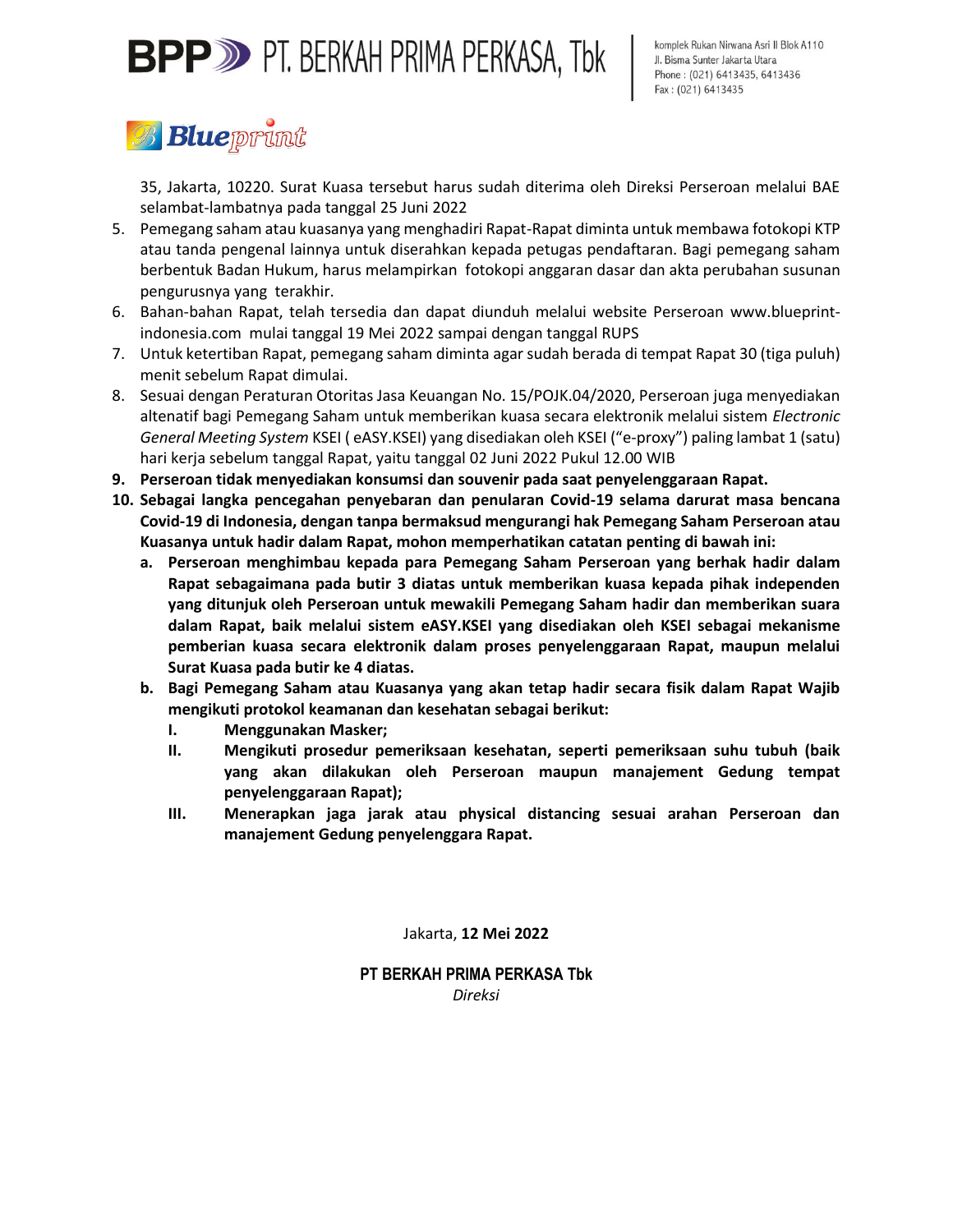# **BPP >>>** PT. BERKAH PRIMA PERKASA, Tbk

# **Blueprint**

35, Jakarta, 10220. Surat Kuasa tersebut harus sudah diterima oleh Direksi Perseroan melalui BAE selambat-lambatnya pada tanggal 25 Juni 2022

- 5. Pemegang saham atau kuasanya yang menghadiri Rapat-Rapat diminta untuk membawa fotokopi KTP atau tanda pengenal lainnya untuk diserahkan kepada petugas pendaftaran. Bagi pemegang saham berbentuk Badan Hukum, harus melampirkan fotokopi anggaran dasar dan akta perubahan susunan pengurusnya yang terakhir.
- 6. Bahan-bahan Rapat, telah tersedia dan dapat diunduh melalui website Perseroan www.blueprintindonesia.com mulai tanggal 19 Mei 2022 sampai dengan tanggal RUPS
- 7. Untuk ketertiban Rapat, pemegang saham diminta agar sudah berada di tempat Rapat 30 (tiga puluh) menit sebelum Rapat dimulai.
- 8. Sesuai dengan Peraturan Otoritas Jasa Keuangan No. 15/POJK.04/2020, Perseroan juga menyediakan altenatif bagi Pemegang Saham untuk memberikan kuasa secara elektronik melalui sistem *Electronic General Meeting System* KSEI ( eASY.KSEI) yang disediakan oleh KSEI ("e-proxy") paling lambat 1 (satu) hari kerja sebelum tanggal Rapat, yaitu tanggal 02 Juni 2022 Pukul 12.00 WIB
- **9. Perseroan tidak menyediakan konsumsi dan souvenir pada saat penyelenggaraan Rapat.**
- **10. Sebagai langka pencegahan penyebaran dan penularan Covid-19 selama darurat masa bencana Covid-19 di Indonesia, dengan tanpa bermaksud mengurangi hak Pemegang Saham Perseroan atau Kuasanya untuk hadir dalam Rapat, mohon memperhatikan catatan penting di bawah ini:**
	- **a. Perseroan menghimbau kepada para Pemegang Saham Perseroan yang berhak hadir dalam Rapat sebagaimana pada butir 3 diatas untuk memberikan kuasa kepada pihak independen yang ditunjuk oleh Perseroan untuk mewakili Pemegang Saham hadir dan memberikan suara dalam Rapat, baik melalui sistem eASY.KSEI yang disediakan oleh KSEI sebagai mekanisme pemberian kuasa secara elektronik dalam proses penyelenggaraan Rapat, maupun melalui Surat Kuasa pada butir ke 4 diatas.**
	- **b. Bagi Pemegang Saham atau Kuasanya yang akan tetap hadir secara fisik dalam Rapat Wajib mengikuti protokol keamanan dan kesehatan sebagai berikut:**
		- **I. Menggunakan Masker;**
		- **II. Mengikuti prosedur pemeriksaan kesehatan, seperti pemeriksaan suhu tubuh (baik yang akan dilakukan oleh Perseroan maupun manajement Gedung tempat penyelenggaraan Rapat);**
		- **III. Menerapkan jaga jarak atau physical distancing sesuai arahan Perseroan dan manajement Gedung penyelenggara Rapat.**

Jakarta, **12 Mei 2022**

**PT BERKAH PRIMA PERKASA Tbk**  *Direksi*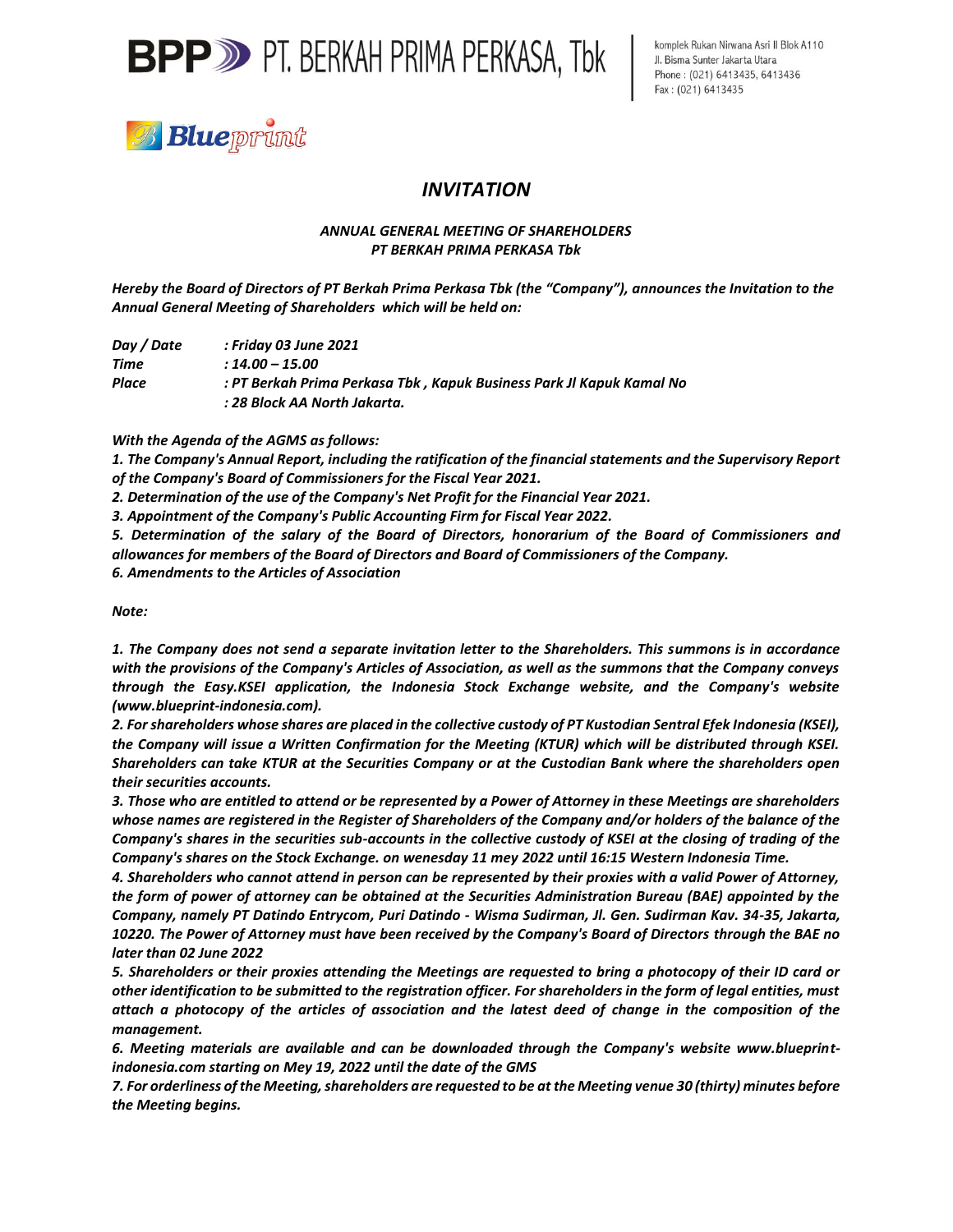

**Blueprint** 

## *INVITATION*

#### *ANNUAL GENERAL MEETING OF SHAREHOLDERS PT BERKAH PRIMA PERKASA Tbk*

*Hereby the Board of Directors of PT Berkah Prima Perkasa Tbk (the "Company"), announces the Invitation to the Annual General Meeting of Shareholders which will be held on:*

| Dav / Date | Friday 03 June 2021 :                                                 |
|------------|-----------------------------------------------------------------------|
| Time       | : 14.00 – 15.00                                                       |
| Place      | : PT Berkah Prima Perkasa Tbk , Kapuk Business Park Jl Kapuk Kamal No |
|            | : 28 Block AA North Jakarta.                                          |

#### *With the Agenda of the AGMS as follows:*

*1. The Company's Annual Report, including the ratification of the financial statements and the Supervisory Report of the Company's Board of Commissioners for the Fiscal Year 2021.*

*2. Determination of the use of the Company's Net Profit for the Financial Year 2021.*

*3. Appointment of the Company's Public Accounting Firm for Fiscal Year 2022.*

*5. Determination of the salary of the Board of Directors, honorarium of the Board of Commissioners and allowances for members of the Board of Directors and Board of Commissioners of the Company.*

*6. Amendments to the Articles of Association*

*Note:*

*1. The Company does not send a separate invitation letter to the Shareholders. This summons is in accordance with the provisions of the Company's Articles of Association, as well as the summons that the Company conveys through the Easy.KSEI application, the Indonesia Stock Exchange website, and the Company's website (www.blueprint-indonesia.com).*

*2. For shareholders whose shares are placed in the collective custody of PT Kustodian Sentral Efek Indonesia (KSEI), the Company will issue a Written Confirmation for the Meeting (KTUR) which will be distributed through KSEI. Shareholders can take KTUR at the Securities Company or at the Custodian Bank where the shareholders open their securities accounts.*

*3. Those who are entitled to attend or be represented by a Power of Attorney in these Meetings are shareholders whose names are registered in the Register of Shareholders of the Company and/or holders of the balance of the Company's shares in the securities sub-accounts in the collective custody of KSEI at the closing of trading of the Company's shares on the Stock Exchange. on wenesday 11 mey 2022 until 16:15 Western Indonesia Time.*

*4. Shareholders who cannot attend in person can be represented by their proxies with a valid Power of Attorney, the form of power of attorney can be obtained at the Securities Administration Bureau (BAE) appointed by the Company, namely PT Datindo Entrycom, Puri Datindo - Wisma Sudirman, Jl. Gen. Sudirman Kav. 34-35, Jakarta, 10220. The Power of Attorney must have been received by the Company's Board of Directors through the BAE no later than 02 June 2022*

*5. Shareholders or their proxies attending the Meetings are requested to bring a photocopy of their ID card or other identification to be submitted to the registration officer. For shareholders in the form of legal entities, must attach a photocopy of the articles of association and the latest deed of change in the composition of the management.*

*6. Meeting materials are available and can be downloaded through the Company's website www.blueprintindonesia.com starting on Mey 19, 2022 until the date of the GMS*

*7. For orderliness of the Meeting, shareholders are requested to be at the Meeting venue 30 (thirty) minutes before the Meeting begins.*